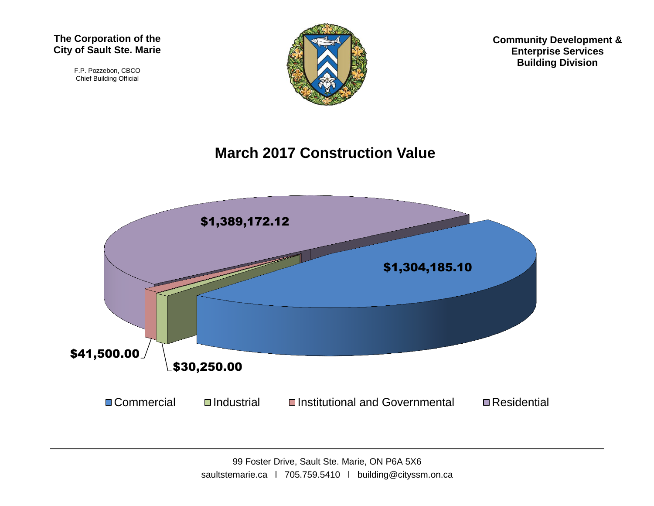F.P. Pozzebon, CBCO Chief Building Official



**Community Development & Enterprise Services Building Division**

#### **March 2017 Construction Value**

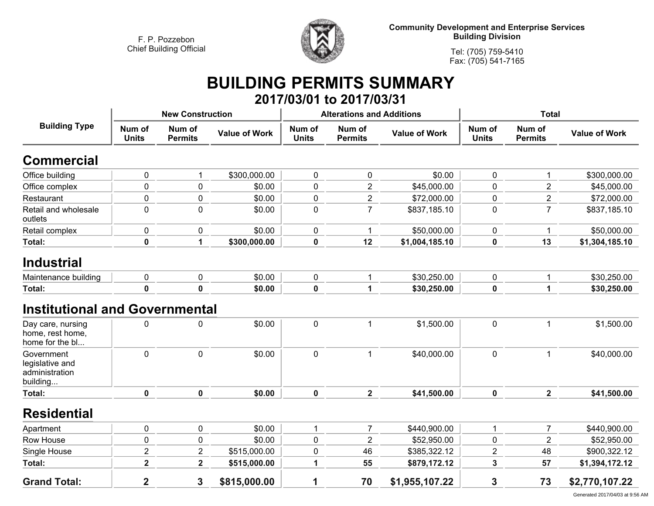

**Community Development and Enterprise Services Building Division**

**Tel: (705) 759-5410Fax: (705) 541-7165**

### **BUILDING PERMITS SUMMARY 2017/03/01 to 2017/03/31**

|                                                             |                         | <b>New Construction</b>  |                      |                        | <b>Alterations and Additions</b> |                      | <b>Total</b>           |                          |                      |  |
|-------------------------------------------------------------|-------------------------|--------------------------|----------------------|------------------------|----------------------------------|----------------------|------------------------|--------------------------|----------------------|--|
| <b>Building Type</b>                                        | Num of<br><b>Units</b>  | Num of<br><b>Permits</b> | <b>Value of Work</b> | Num of<br><b>Units</b> | Num of<br><b>Permits</b>         | <b>Value of Work</b> | Num of<br><b>Units</b> | Num of<br><b>Permits</b> | <b>Value of Work</b> |  |
| <b>Commercial</b>                                           |                         |                          |                      |                        |                                  |                      |                        |                          |                      |  |
| Office building                                             | 0                       | 1                        | \$300,000.00         | $\mathbf 0$            | 0                                | \$0.00               | $\pmb{0}$              | $\mathbf{1}$             | \$300,000.00         |  |
| Office complex                                              | 0                       | $\mathbf 0$              | \$0.00               | $\mathbf 0$            | $\overline{2}$                   | \$45,000.00          | $\mathbf 0$            | $\overline{2}$           | \$45,000.00          |  |
| Restaurant                                                  | 0                       | $\pmb{0}$                | \$0.00               | $\pmb{0}$              | $\overline{2}$                   | \$72,000.00          | $\pmb{0}$              | $\overline{2}$           | \$72,000.00          |  |
| Retail and wholesale<br>outlets                             | 0                       | $\mathbf 0$              | \$0.00               | $\mathbf 0$            | $\overline{7}$                   | \$837,185.10         | $\mathbf 0$            | $\overline{7}$           | \$837,185.10         |  |
| Retail complex                                              | 0                       | $\mathbf 0$              | \$0.00               | $\mathbf 0$            | 1                                | \$50,000.00          | $\pmb{0}$              | 1                        | \$50,000.00          |  |
| <b>Total:</b>                                               | $\mathbf 0$             | 1                        | \$300,000.00         | $\mathbf 0$            | 12                               | \$1,004,185.10       | $\mathbf 0$            | 13                       | \$1,304,185.10       |  |
| <b>Industrial</b>                                           |                         |                          |                      |                        |                                  |                      |                        |                          |                      |  |
| Maintenance building                                        | 0                       | 0                        | \$0.00               | 0                      | 1                                | \$30,250.00          | 0                      | $\mathbf{1}$             | \$30,250.00          |  |
| Total:                                                      | $\mathbf 0$             | $\mathbf 0$              | \$0.00               | $\mathbf 0$            | 1                                | \$30,250.00          | $\mathbf 0$            | 1                        | \$30,250.00          |  |
| <b>Institutional and Governmental</b>                       |                         |                          |                      |                        |                                  |                      |                        |                          |                      |  |
| Day care, nursing<br>home, rest home,<br>home for the bl    | $\mathbf 0$             | $\mathbf 0$              | \$0.00               | $\mathbf 0$            | 1                                | \$1,500.00           | $\overline{0}$         | $\mathbf{1}$             | \$1,500.00           |  |
| Government<br>legislative and<br>administration<br>building | $\mathbf 0$             | $\mathbf 0$              | \$0.00               | $\mathbf 0$            | $\mathbf{1}$                     | \$40,000.00          | $\mathbf 0$            | $\mathbf{1}$             | \$40,000.00          |  |
| Total:                                                      | $\mathbf 0$             | $\mathbf 0$              | \$0.00               | $\mathbf 0$            | $\overline{\mathbf{2}}$          | \$41,500.00          | $\mathbf 0$            | $\mathbf{2}$             | \$41,500.00          |  |
| <b>Residential</b>                                          |                         |                          |                      |                        |                                  |                      |                        |                          |                      |  |
| Apartment                                                   | 0                       | $\mathbf 0$              | \$0.00               | $\mathbf{1}$           | $\overline{7}$                   | \$440,900.00         | $\mathbf{1}$           | $\overline{7}$           | \$440,900.00         |  |
| Row House                                                   | 0                       | $\pmb{0}$                | \$0.00               | $\pmb{0}$              | $\overline{2}$                   | \$52,950.00          | 0                      | $\overline{2}$           | \$52,950.00          |  |
| Single House                                                | $\overline{2}$          | $\overline{2}$           | \$515,000.00         | $\mathbf 0$            | 46                               | \$385,322.12         | $\overline{2}$         | 48                       | \$900,322.12         |  |
| Total:                                                      | $\overline{\mathbf{2}}$ | $\mathbf{2}$             | \$515,000.00         | 1                      | 55                               | \$879,172.12         | 3                      | 57                       | \$1,394,172.12       |  |
| <b>Grand Total:</b>                                         | $\overline{\mathbf{2}}$ | 3                        | \$815,000.00         | 1                      | 70                               | \$1,955,107.22       | 3                      | 73                       | \$2,770,107.22       |  |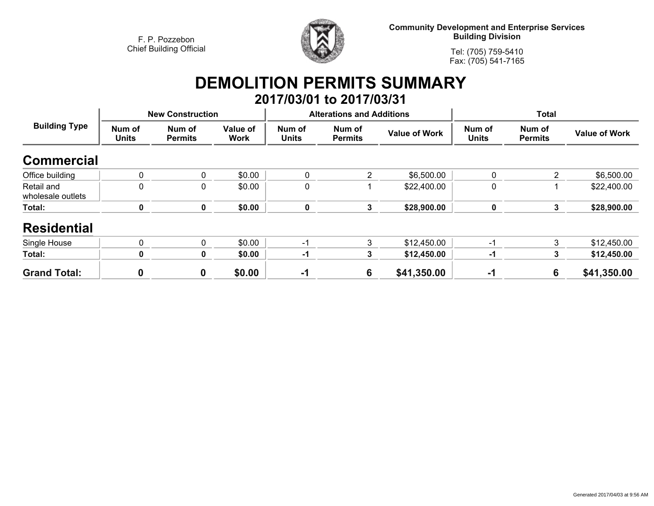

**Community Development and Enterprise Services Building Division**

**Tel: (705) 759-5410Fax: (705) 541-7165**

# **DEMOLITION PERMITS SUMMARY**

|                                 |                        |                          |                         |                        | 2017/03/01 to 2017/03/31         |                      |                        |                          |                      |
|---------------------------------|------------------------|--------------------------|-------------------------|------------------------|----------------------------------|----------------------|------------------------|--------------------------|----------------------|
| <b>Building Type</b>            |                        | <b>New Construction</b>  |                         |                        | <b>Alterations and Additions</b> |                      | <b>Total</b>           |                          |                      |
|                                 | Num of<br><b>Units</b> | Num of<br><b>Permits</b> | Value of<br><b>Work</b> | Num of<br><b>Units</b> | Num of<br><b>Permits</b>         | <b>Value of Work</b> | Num of<br><b>Units</b> | Num of<br><b>Permits</b> | <b>Value of Work</b> |
| <b>Commercial</b>               |                        |                          |                         |                        |                                  |                      |                        |                          |                      |
| Office building                 | 0                      | 0                        | \$0.00                  | 0                      | 2                                | \$6,500.00           | 0                      | 2                        | \$6,500.00           |
| Retail and<br>wholesale outlets | $\mathbf 0$            | 0                        | \$0.00                  | 0                      |                                  | \$22,400.00          | 0                      |                          | \$22,400.00          |
| Total:                          | 0                      | $\mathbf 0$              | \$0.00                  | $\pmb{0}$              | 3                                | \$28,900.00          | 0                      | 3                        | \$28,900.00          |
| <b>Residential</b>              |                        |                          |                         |                        |                                  |                      |                        |                          |                      |
| Single House                    | 0                      | 0                        | \$0.00                  | -1                     | 3                                | \$12,450.00          | $-1$                   | 3                        | \$12,450.00          |
| Total:                          | 0                      | 0                        | \$0.00                  | -1                     | 3                                | \$12,450.00          | -1                     | 3                        | \$12,450.00          |
| <b>Grand Total:</b>             | 0                      | $\mathbf 0$              | \$0.00                  | $-1$                   | 6                                | \$41,350.00          | -1                     | 6                        | \$41,350.00          |